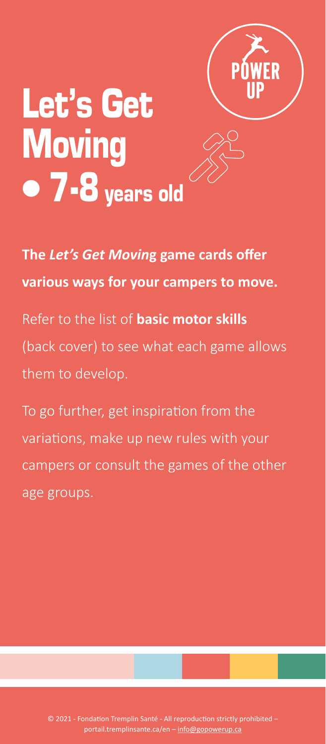

# Let's Get **Moving**  $\bullet$  7-8 years old



**The** *Let's Get Movin***g game cards offer various ways for your campers to move.** 

Refer to the list of **basic motor skills** (back cover) to see what each game allows them to develop.

To go further, get inspiration from the variations, make up new rules with your campers or consult the games of the other age groups.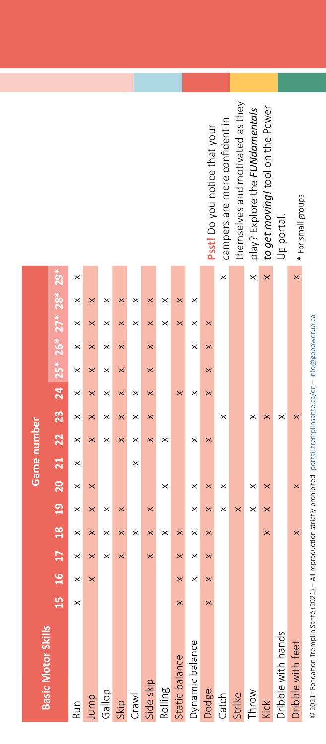| Ï<br>١           |
|------------------|
|                  |
| j<br>ï           |
| I                |
| ı<br>۱           |
| í<br>i<br>l      |
|                  |
| I                |
| j                |
|                  |
| i                |
|                  |
|                  |
| ï                |
| ł                |
| j                |
| I<br>ï           |
|                  |
| ł                |
| ۱                |
| ï                |
|                  |
|                  |
| i                |
|                  |
|                  |
|                  |
|                  |
|                  |
| $\overline{a}$   |
|                  |
|                  |
| ï                |
|                  |
|                  |
| ¢                |
|                  |
|                  |
| i<br>ׇ֚֕֡        |
|                  |
| ₹                |
| I                |
| j                |
| į<br>b           |
| j                |
|                  |
| ֚֚֡֕             |
|                  |
|                  |
|                  |
| ś<br>ī           |
| ļ<br>i           |
| l                |
|                  |
|                  |
|                  |
| č<br>j           |
| ï                |
| ï                |
| l                |
| j<br>Į<br>ł<br>ś |
| į<br>١           |

| Psst! Do you notice that your    |
|----------------------------------|
| campers are more confident in    |
| themselves and motivated as they |
| play? Explore the FUNdamentals   |
| to get moving! tool on the Power |
| Up portal.                       |
| * For small groups               |
|                                  |

|                           |                                                            |          |          |          |          |          |           |          |                |                 | Psst! Do you notice that your | campers are more confident in | themselves and motivated as they | play? Explore the FUNdamentals | to get moving! tool on the Power | Up portal.         | * For small groups |
|---------------------------|------------------------------------------------------------|----------|----------|----------|----------|----------|-----------|----------|----------------|-----------------|-------------------------------|-------------------------------|----------------------------------|--------------------------------|----------------------------------|--------------------|--------------------|
|                           |                                                            | $\times$ |          |          |          |          |           |          |                |                 |                               | $\times$                      |                                  | $\times$                       | $\times$                         |                    | $\times$           |
|                           | 15 16 17 18 19 20 21 22 23 24 25* 26* $27^*$ $28^*$ $29^*$ | ×        | $\times$ | ×        | ×        | ×        | $\times$  | ×        | ×              | ×               |                               |                               |                                  |                                |                                  |                    |                    |
|                           |                                                            | ×        |          | ×        | $\times$ | $\times$ | $\times$  | ×        | ×              | $\times$        | $\times$                      |                               |                                  |                                |                                  |                    |                    |
|                           |                                                            | ×        | ×        |          | ×        |          | $\times$  |          |                | $\times$        | ×                             |                               |                                  |                                |                                  |                    |                    |
|                           |                                                            | ×        | ×        | ×        | ×        |          | $\times$  |          |                |                 | $\times$                      |                               |                                  |                                |                                  |                    |                    |
|                           |                                                            | $\times$ | $\times$ | ×        | ×        | ×        | ×         |          | $\times$       | $\times$        | $\times$                      |                               |                                  |                                |                                  |                    |                    |
|                           |                                                            | $\times$ | ×        | ×        | $\times$ | $\times$ | $\times$  |          |                |                 |                               | ×                             |                                  | $\times$                       | $\times$                         | ×                  |                    |
|                           |                                                            | $\times$ | $\times$ |          | $\times$ | $\times$ | $\times$  | $\times$ |                | $\times$        | $\times$                      |                               |                                  |                                |                                  |                    |                    |
| Game number               |                                                            | $\times$ |          |          |          | $\times$ |           |          |                |                 |                               |                               |                                  |                                |                                  |                    |                    |
|                           |                                                            | $\times$ | $\times$ |          |          |          |           | ×        |                | $\times$        | $\times$                      | ×                             |                                  | ×                              | $\times$                         |                    | ×                  |
|                           |                                                            | $\times$ | $\times$ | $\times$ | $\times$ |          | $\times$  |          |                | $\times$        | $\times$                      | $\times$                      | $\times$                         | $\times$                       | $\times$                         |                    |                    |
|                           |                                                            | $\times$ | ×        |          | $\times$ | $\times$ | $\times$  | $\times$ | $\times$       |                 | $\times$                      |                               |                                  |                                | $\times$                         |                    |                    |
|                           |                                                            | $\times$ | $\times$ | $\times$ | $\times$ |          | $\times$  |          | $\times$       | $\times$        | $\times$                      |                               |                                  |                                |                                  |                    |                    |
|                           |                                                            | $\times$ | $\times$ |          |          |          |           |          | $\times$       | $\times$        | $\times$                      |                               |                                  |                                |                                  |                    |                    |
|                           |                                                            | $\times$ |          |          |          |          |           |          | $\times$       |                 | $\times$                      |                               |                                  |                                |                                  |                    |                    |
| <b>Basic Motor Skills</b> |                                                            | Run      | Jump     | Gallop   | Skip     | Crawl    | Side skip | Rolling  | Static balance | Dynamic balance | Dodge                         | Catch                         | Strike                           | Throw                          | Kick                             | Dribble with hands | Dribble with feet  |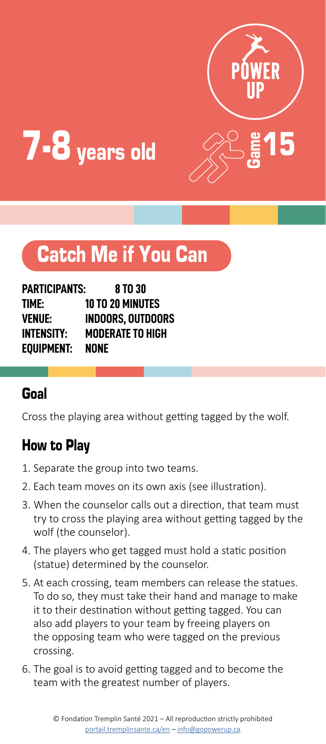



# Catch Me if You Can

| PARTICIPANTS:     | 8 TO 30                 |
|-------------------|-------------------------|
| TIME:             | <b>10 TO 20 MINUTES</b> |
| <b>VENUE:</b>     | INDOORS. OUTDOORS       |
| <b>INTENSITY:</b> | <b>MODERATE TO HIGH</b> |
| EOUIPMENT:        | NONE                    |

#### Goal

Cross the playing area without getting tagged by the wolf.

- 1. Separate the group into two teams.
- 2. Each team moves on its own axis (see illustration).
- 3. When the counselor calls out a direction, that team must try to cross the playing area without getting tagged by the wolf (the counselor).
- 4. The players who get tagged must hold a static position (statue) determined by the counselor.
- 5. At each crossing, team members can release the statues. To do so, they must take their hand and manage to make it to their destination without getting tagged. You can also add players to your team by freeing players on the opposing team who were tagged on the previous crossing.
- 6. The goal is to avoid getting tagged and to become the team with the greatest number of players.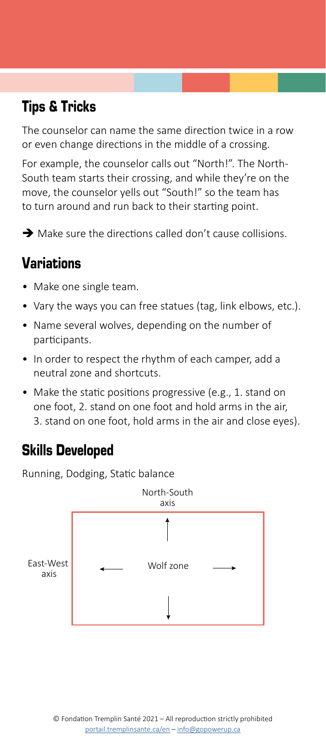# Tips & Tricks

The counselor can name the same direction twice in a row or even change directions in the middle of a crossing.

For example, the counselor calls out "North!". The North-South team starts their crossing, and while they're on the move, the counselor yells out "South!" so the team has to turn around and run back to their starting point.

 $\rightarrow$  Make sure the directions called don't cause collisions.

# Variations

- Make one single team.
- Vary the ways you can free statues (tag, link elbows, etc.).
- Name several wolves, depending on the number of participants.
- In order to respect the rhythm of each camper, add a neutral zone and shortcuts.
- Make the static positions progressive (e.g., 1. stand on one foot, 2. stand on one foot and hold arms in the air, 3. stand on one foot, hold arms in the air and close eyes).

# Skills Developed

Running, Dodging, Static balance

![](_page_3_Figure_12.jpeg)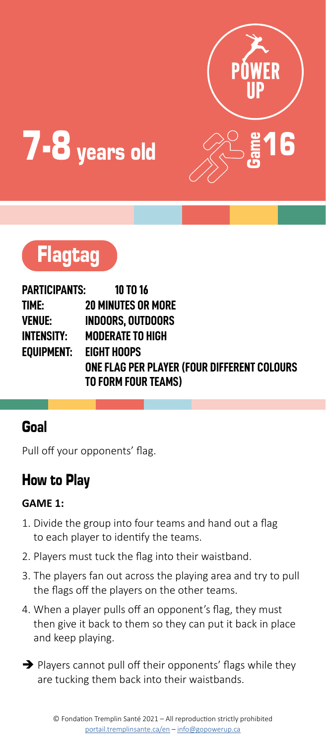![](_page_4_Picture_0.jpeg)

![](_page_4_Picture_1.jpeg)

# Flagtag

**PARTICIPANTS: 10 TO 16 TIME: 20 MINUTES OR MORE VENUE: INDOORS, OUTDOORS INTENSITY: MODERATE TO HIGH EQUIPMENT: EIGHT HOOPS ONE FLAG PER PLAYER (FOUR DIFFERENT COLOURS TO FORM FOUR TEAMS)**

#### Goal

Pull off your opponents' flag.

# How to Play

#### **GAME 1:**

- 1. Divide the group into four teams and hand out a flag to each player to identify the teams.
- 2. Players must tuck the flag into their waistband.
- 3. The players fan out across the playing area and try to pull the flags off the players on the other teams.
- 4. When a player pulls off an opponent's flag, they must then give it back to them so they can put it back in place and keep playing.
- $\rightarrow$  Players cannot pull off their opponents' flags while they are tucking them back into their waistbands.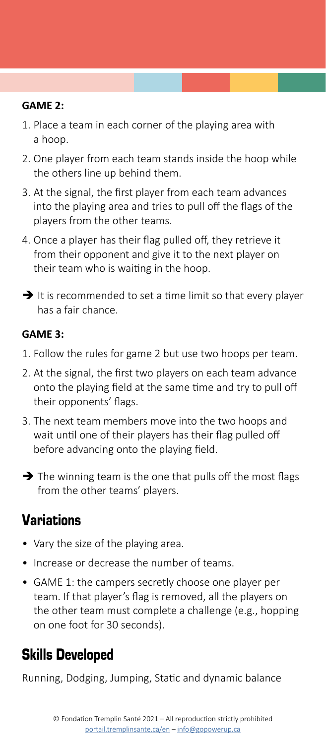#### **GAME 2:**

- 1. Place a team in each corner of the playing area with a hoop.
- 2. One player from each team stands inside the hoop while the others line up behind them.
- 3. At the signal, the first player from each team advances into the playing area and tries to pull off the flags of the players from the other teams.
- 4. Once a player has their flag pulled off, they retrieve it from their opponent and give it to the next player on their team who is waiting in the hoop.
- $\rightarrow$  It is recommended to set a time limit so that every player has a fair chance.

#### **GAME 3:**

- 1. Follow the rules for game 2 but use two hoops per team.
- 2. At the signal, the first two players on each team advance onto the playing field at the same time and try to pull off their opponents' flags.
- 3. The next team members move into the two hoops and wait until one of their players has their flag pulled off before advancing onto the playing field.
- $\rightarrow$  The winning team is the one that pulls off the most flags from the other teams' players.

### Variations

- Vary the size of the playing area.
- Increase or decrease the number of teams.
- GAME 1: the campers secretly choose one player per team. If that player's flag is removed, all the players on the other team must complete a challenge (e.g., hopping on one foot for 30 seconds).

### Skills Developed

Running, Dodging, Jumping, Static and dynamic balance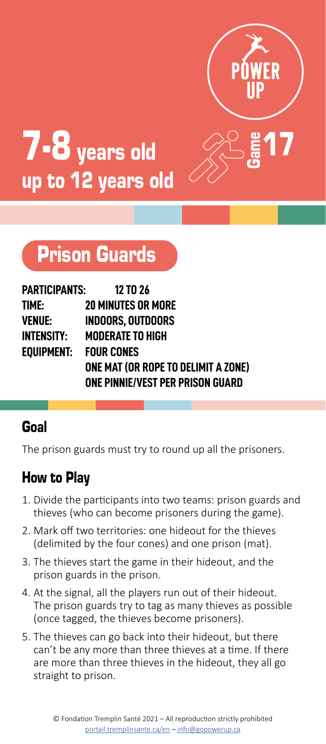![](_page_6_Picture_0.jpeg)

![](_page_6_Picture_1.jpeg)

# Prison Guards

| PARTICIPANTS:         | <b>12 TO 26</b>                         |
|-----------------------|-----------------------------------------|
| TIME:                 | <b>20 MINUTES OR MORE</b>               |
| VENUE:                | <b>INDOORS, OUTDOORS</b>                |
| INTENSITY:            | <b>MODERATE TO HIGH</b>                 |
| EOUIPMENT: FOUR CONES |                                         |
|                       | ONE MAT (OR ROPE TO DELIMIT A ZONE)     |
|                       | <b>ONE PINNIE/VEST PER PRISON GUARD</b> |

#### Goal

The prison guards must try to round up all the prisoners.

- 1. Divide the participants into two teams: prison guards and thieves (who can become prisoners during the game).
- 2. Mark off two territories: one hideout for the thieves (delimited by the four cones) and one prison (mat).
- 3. The thieves start the game in their hideout, and the prison guards in the prison.
- 4. At the signal, all the players run out of their hideout. The prison guards try to tag as many thieves as possible (once tagged, the thieves become prisoners).
- 5. The thieves can go back into their hideout, but there can't be any more than three thieves at a time. If there are more than three thieves in the hideout, they all go straight to prison.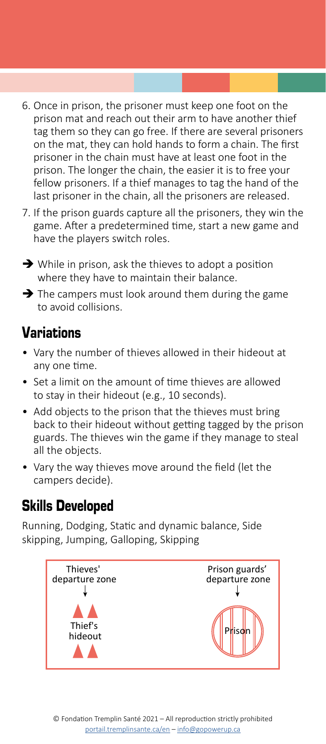- 6. Once in prison, the prisoner must keep one foot on the prison mat and reach out their arm to have another thief tag them so they can go free. If there are several prisoners on the mat, they can hold hands to form a chain. The first prisoner in the chain must have at least one foot in the prison. The longer the chain, the easier it is to free your fellow prisoners. If a thief manages to tag the hand of the last prisoner in the chain, all the prisoners are released.
- 7. If the prison guards capture all the prisoners, they win the game. After a predetermined time, start a new game and have the players switch roles.
- $\rightarrow$  While in prison, ask the thieves to adopt a position where they have to maintain their balance.
- $\rightarrow$  The campers must look around them during the game to avoid collisions.

- Vary the number of thieves allowed in their hideout at any one time.
- Set a limit on the amount of time thieves are allowed to stay in their hideout (e.g., 10 seconds).
- Add objects to the prison that the thieves must bring back to their hideout without getting tagged by the prison guards. The thieves win the game if they manage to steal all the objects.
- Vary the way thieves move around the field (let the campers decide).

### Skills Developed

Running, Dodging, Static and dynamic balance, Side skipping, Jumping, Galloping, Skipping

![](_page_7_Figure_11.jpeg)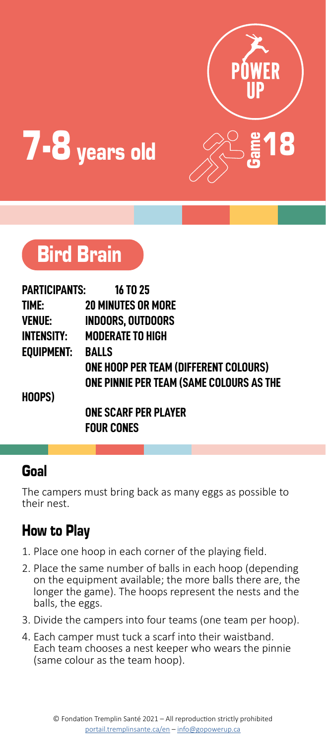![](_page_8_Picture_0.jpeg)

![](_page_8_Picture_1.jpeg)

![](_page_8_Picture_2.jpeg)

| PARTICIPANTS:     | <b>16 TO 25</b>                          |
|-------------------|------------------------------------------|
| TIME:             | <b>20 MINUTES OR MORE</b>                |
| <b>VENUE:</b>     | <b>INDOORS, OUTDOORS</b>                 |
| <b>INTENSITY:</b> | <b>MODERATE TO HIGH</b>                  |
| <b>EOUIPMENT:</b> | <b>BALLS</b>                             |
|                   | ONE HOOP PER TEAM (DIFFERENT COLOURS)    |
|                   | ONE PINNIE PER TEAM (SAME COLOURS AS THE |
| HOOPS)            |                                          |
|                   | <b>ONE SCARF PER PLAYER</b>              |
|                   | <b>Four Cones</b>                        |

#### Goal

The campers must bring back as many eggs as possible to their nest.

- 1. Place one hoop in each corner of the playing field.
- 2. Place the same number of balls in each hoop (depending on the equipment available; the more balls there are, the longer the game). The hoops represent the nests and the balls, the eggs.
- 3. Divide the campers into four teams (one team per hoop).
- 4. Each camper must tuck a scarf into their waistband. Each team chooses a nest keeper who wears the pinnie (same colour as the team hoop).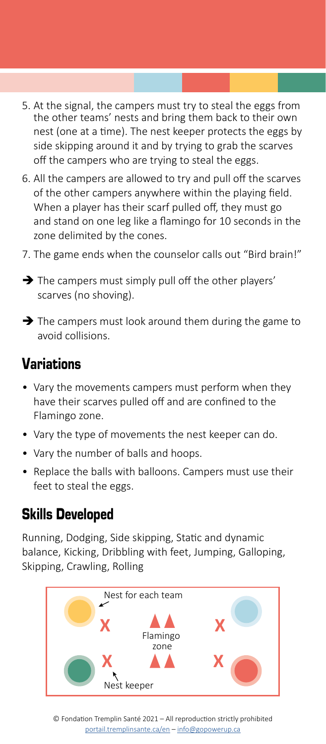- 5. At the signal, the campers must try to steal the eggs from the other teams' nests and bring them back to their own nest (one at a time). The nest keeper protects the eggs by side skipping around it and by trying to grab the scarves off the campers who are trying to steal the eggs.
- 6. All the campers are allowed to try and pull off the scarves of the other campers anywhere within the playing field. When a player has their scarf pulled off, they must go and stand on one leg like a flamingo for 10 seconds in the zone delimited by the cones.
- 7. The game ends when the counselor calls out "Bird brain!"
- $\rightarrow$  The campers must simply pull off the other players' scarves (no shoving).
- $\rightarrow$  The campers must look around them during the game to avoid collisions.

- Vary the movements campers must perform when they have their scarves pulled off and are confined to the Flamingo zone.
- Vary the type of movements the nest keeper can do.
- Vary the number of balls and hoops.
- Replace the balls with balloons. Campers must use their feet to steal the eggs.

#### Skills Developed

Running, Dodging, Side skipping, Static and dynamic balance, Kicking, Dribbling with feet, Jumping, Galloping, Skipping, Crawling, Rolling

![](_page_9_Figure_12.jpeg)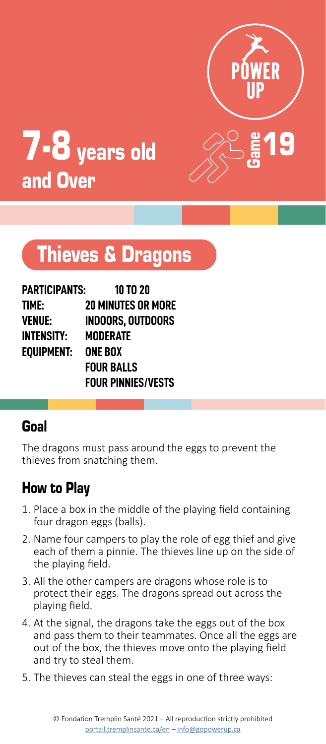![](_page_10_Picture_0.jpeg)

![](_page_10_Picture_1.jpeg)

# Thieves & Dragons

| <b>PARTICIPANTS:</b> | 10 TO 20                  |
|----------------------|---------------------------|
| time:                | <b>20 MINUTES OR MORE</b> |
| VENUE:               | INDOORS. OUTDOORS         |
| INTENSITY:           | MODERATE                  |
| EOUIPMENT:           | <b>ONE BOX</b>            |
|                      | <b>FOUR BALLS</b>         |
|                      | <b>FOUR PINNIES/VESTS</b> |

#### Goal

The dragons must pass around the eggs to prevent the thieves from snatching them.

- 1. Place a box in the middle of the playing field containing four dragon eggs (balls).
- 2. Name four campers to play the role of egg thief and give each of them a pinnie. The thieves line up on the side of the playing field.
- 3. All the other campers are dragons whose role is to protect their eggs. The dragons spread out across the playing field.
- 4. At the signal, the dragons take the eggs out of the box and pass them to their teammates. Once all the eggs are out of the box, the thieves move onto the playing field and try to steal them.
- 5. The thieves can steal the eggs in one of three ways: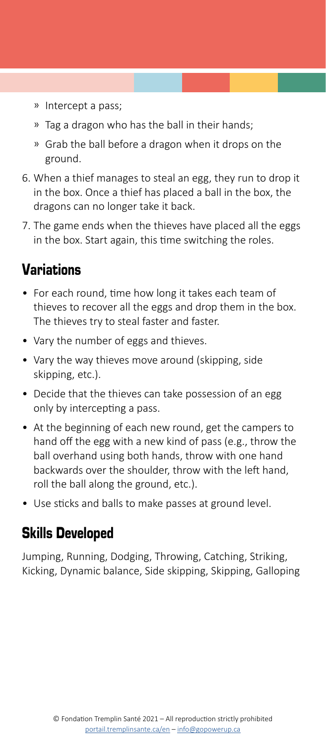- ͫ Intercept a pass;
- ͫ Tag a dragon who has the ball in their hands;
- ͫ Grab the ball before a dragon when it drops on the ground.
- 6. When a thief manages to steal an egg, they run to drop it in the box. Once a thief has placed a ball in the box, the dragons can no longer take it back.
- 7. The game ends when the thieves have placed all the eggs in the box. Start again, this time switching the roles.

- For each round, time how long it takes each team of thieves to recover all the eggs and drop them in the box. The thieves try to steal faster and faster.
- Vary the number of eggs and thieves.
- Vary the way thieves move around (skipping, side skipping, etc.).
- Decide that the thieves can take possession of an egg only by intercepting a pass.
- At the beginning of each new round, get the campers to hand off the egg with a new kind of pass (e.g., throw the ball overhand using both hands, throw with one hand backwards over the shoulder, throw with the left hand, roll the ball along the ground, etc.).
- Use sticks and balls to make passes at ground level.

#### Skills Developed

Jumping, Running, Dodging, Throwing, Catching, Striking, Kicking, Dynamic balance, Side skipping, Skipping, Galloping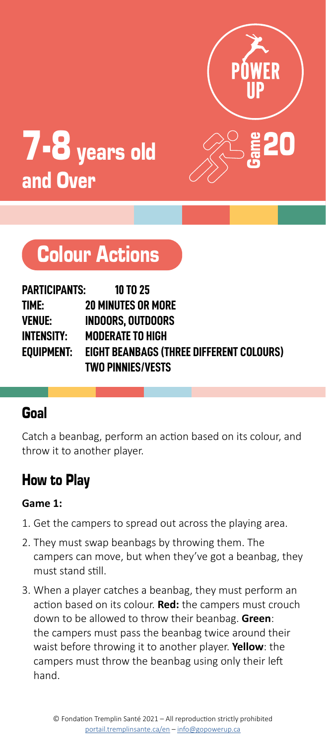![](_page_12_Picture_0.jpeg)

![](_page_12_Picture_1.jpeg)

# Colour Actions

| PARTICIPANTS: | <b>10 TO 25</b>                                 |
|---------------|-------------------------------------------------|
| TIME:         | <b>20 MINUTES OR MORE</b>                       |
| VENUE:        | <b>INDOORS. OUTDOORS</b>                        |
| INTENSITY:    | <b>MODERATE TO HIGH</b>                         |
| eouipment:    | <b>EIGHT BEANBAGS (THREE DIFFERENT COLOURS)</b> |
|               | <b>TWO PINNIES/VESTS</b>                        |

#### Goal

Catch a beanbag, perform an action based on its colour, and throw it to another player.

# How to Play

#### **Game 1:**

- 1. Get the campers to spread out across the playing area.
- 2. They must swap beanbags by throwing them. The campers can move, but when they've got a beanbag, they must stand still.
- 3. When a player catches a beanbag, they must perform an action based on its colour. **Red:** the campers must crouch down to be allowed to throw their beanbag. **Green**: the campers must pass the beanbag twice around their waist before throwing it to another player. **Yellow**: the campers must throw the beanbag using only their left hand.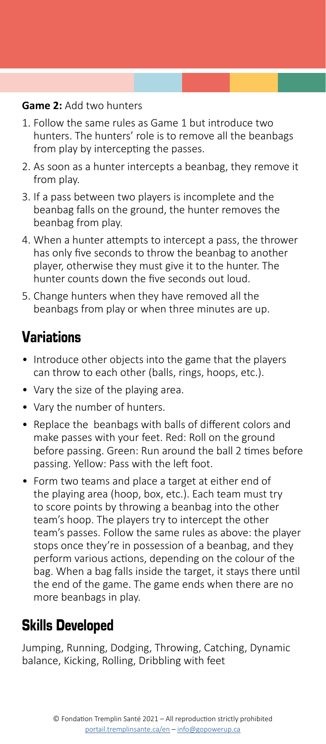#### **Game 2:** Add two hunters

- 1. Follow the same rules as Game 1 but introduce two hunters. The hunters' role is to remove all the beanbags from play by intercepting the passes.
- 2. As soon as a hunter intercepts a beanbag, they remove it from play.
- 3. If a pass between two players is incomplete and the beanbag falls on the ground, the hunter removes the beanbag from play.
- 4. When a hunter attempts to intercept a pass, the thrower has only five seconds to throw the beanbag to another player, otherwise they must give it to the hunter. The hunter counts down the five seconds out loud.
- 5. Change hunters when they have removed all the beanbags from play or when three minutes are up.

## Variations

- Introduce other objects into the game that the players can throw to each other (balls, rings, hoops, etc.).
- Vary the size of the playing area.
- Vary the number of hunters.
- Replace the beanbags with balls of different colors and make passes with your feet. Red: Roll on the ground before passing. Green: Run around the ball 2 times before passing. Yellow: Pass with the left foot.
- Form two teams and place a target at either end of the playing area (hoop, box, etc.). Each team must try to score points by throwing a beanbag into the other team's hoop. The players try to intercept the other team's passes. Follow the same rules as above: the player stops once they're in possession of a beanbag, and they perform various actions, depending on the colour of the bag. When a bag falls inside the target, it stays there until the end of the game. The game ends when there are no more beanbags in play.

### Skills Developed

Jumping, Running, Dodging, Throwing, Catching, Dynamic balance, Kicking, Rolling, Dribbling with feet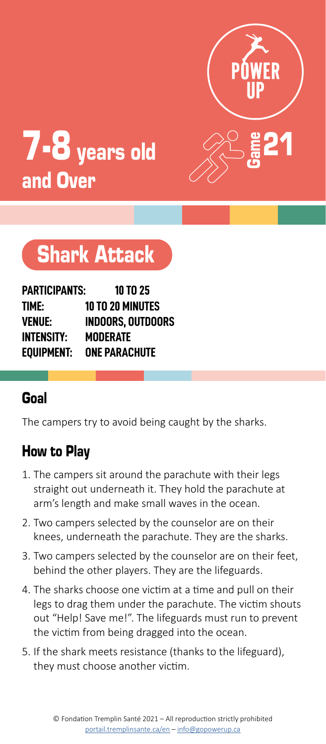![](_page_14_Picture_0.jpeg)

![](_page_14_Picture_1.jpeg)

# Shark Attack

| PARTICIPANTS:     | 10 TO 25                |
|-------------------|-------------------------|
| TIME:             | <b>10 TO 20 MINUTES</b> |
| <b>VENUE:</b>     | INDOORS. OUTDOORS       |
| <b>INTENSITY:</b> | MODERATE                |
| EOUIPMENT:        | <b>ONE PARACHUTE</b>    |

# Goal

The campers try to avoid being caught by the sharks.

- 1. The campers sit around the parachute with their legs straight out underneath it. They hold the parachute at arm's length and make small waves in the ocean.
- 2. Two campers selected by the counselor are on their knees, underneath the parachute. They are the sharks.
- 3. Two campers selected by the counselor are on their feet, behind the other players. They are the lifeguards.
- 4. The sharks choose one victim at a time and pull on their legs to drag them under the parachute. The victim shouts out "Help! Save me!". The lifeguards must run to prevent the victim from being dragged into the ocean.
- 5. If the shark meets resistance (thanks to the lifeguard), they must choose another victim.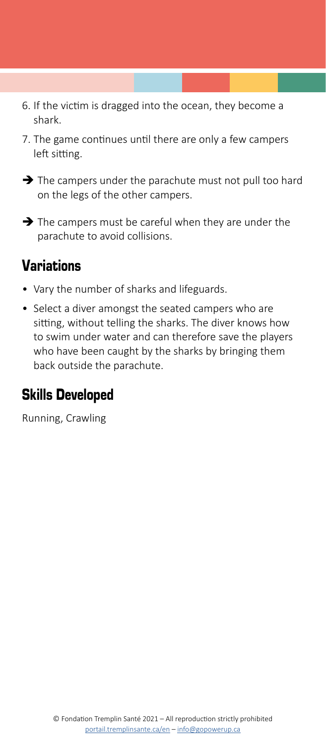- 6. If the victim is dragged into the ocean, they become a shark.
- 7. The game continues until there are only a few campers left sitting.
- $\rightarrow$  The campers under the parachute must not pull too hard on the legs of the other campers.
- $\rightarrow$  The campers must be careful when they are under the parachute to avoid collisions.

- Vary the number of sharks and lifeguards.
- Select a diver amongst the seated campers who are sitting, without telling the sharks. The diver knows how to swim under water and can therefore save the players who have been caught by the sharks by bringing them back outside the parachute.

#### Skills Developed

Running, Crawling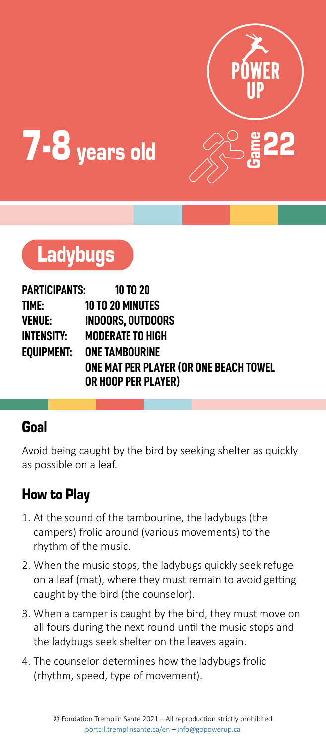![](_page_16_Picture_0.jpeg)

![](_page_16_Picture_1.jpeg)

![](_page_16_Picture_2.jpeg)

| PARTICIPANTS: | 10 TO 20                               |
|---------------|----------------------------------------|
| TIME:         | <b>10 TO 20 MINUTES</b>                |
| VENUE:        | <b>INDOORS. OUTDOORS</b>               |
| INTENSITY:    | <b>MODERATE TO HIGH</b>                |
|               | EOUIPMENT: ONE TAMBOURINE              |
|               | ONE MAT PER PLAYER (OR ONE BEACH TOWEL |
|               | OR HOOP PER PLAYER)                    |

#### Goal

Avoid being caught by the bird by seeking shelter as quickly as possible on a leaf.

- 1. At the sound of the tambourine, the ladybugs (the campers) frolic around (various movements) to the rhythm of the music.
- 2. When the music stops, the ladybugs quickly seek refuge on a leaf (mat), where they must remain to avoid getting caught by the bird (the counselor).
- 3. When a camper is caught by the bird, they must move on all fours during the next round until the music stops and the ladybugs seek shelter on the leaves again.
- 4. The counselor determines how the ladybugs frolic (rhythm, speed, type of movement).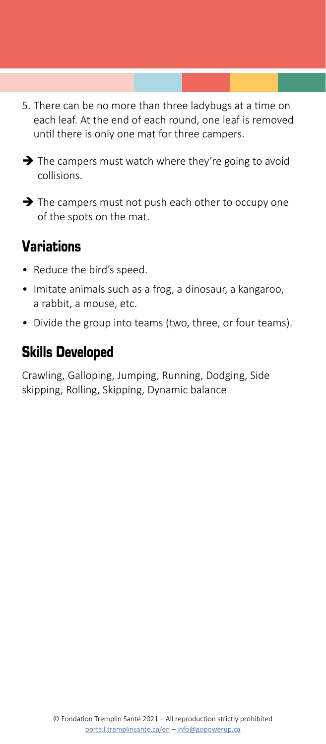- 5. There can be no more than three ladybugs at a time on each leaf. At the end of each round, one leaf is removed until there is only one mat for three campers.
- $\rightarrow$  The campers must watch where they're going to avoid collisions.
- $\rightarrow$  The campers must not push each other to occupy one of the spots on the mat.

- Reduce the bird's speed.
- Imitate animals such as a frog, a dinosaur, a kangaroo, a rabbit, a mouse, etc.
- Divide the group into teams (two, three, or four teams).

## Skills Developed

Crawling, Galloping, Jumping, Running, Dodging, Side skipping, Rolling, Skipping, Dynamic balance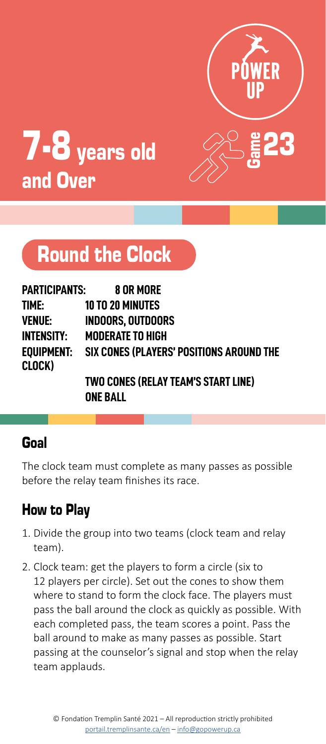![](_page_18_Picture_0.jpeg)

![](_page_18_Picture_1.jpeg)

# Round the Clock

| PARTICIPANTS:     | 8 OR MORE                                           |
|-------------------|-----------------------------------------------------|
| TIME:             | <b>10 TO 20 MINUTES</b>                             |
| <b>VENUE:</b>     | <b>INDOORS. OUTDOORS</b>                            |
| <b>INTENSITY:</b> | <b>MODERATE TO HIGH</b>                             |
| CLOCK)            | EQUIPMENT: SIX CONES (PLAYERS' POSITIONS AROUND THE |
|                   | <b>TWO CONES (RELAY TEAM'S START LINE)</b>          |

**ONE BALL**

#### Goal

The clock team must complete as many passes as possible before the relay team finishes its race.

- 1. Divide the group into two teams (clock team and relay team).
- 2. Clock team: get the players to form a circle (six to 12 players per circle). Set out the cones to show them where to stand to form the clock face. The players must pass the ball around the clock as quickly as possible. With each completed pass, the team scores a point. Pass the ball around to make as many passes as possible. Start passing at the counselor's signal and stop when the relay team applauds.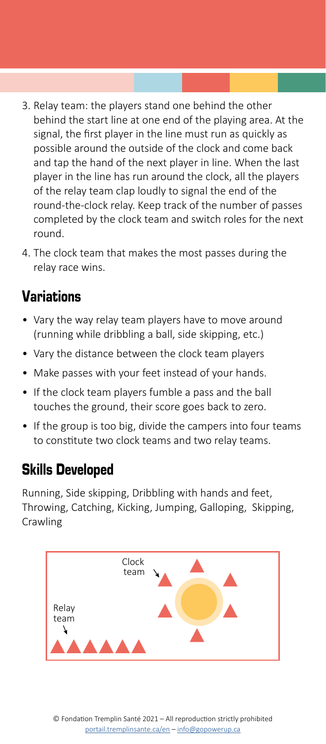- 3. Relay team: the players stand one behind the other behind the start line at one end of the playing area. At the signal, the first player in the line must run as quickly as possible around the outside of the clock and come back and tap the hand of the next player in line. When the last player in the line has run around the clock, all the players of the relay team clap loudly to signal the end of the round-the-clock relay. Keep track of the number of passes completed by the clock team and switch roles for the next round.
- 4. The clock team that makes the most passes during the relay race wins.

- Vary the way relay team players have to move around (running while dribbling a ball, side skipping, etc.)
- Vary the distance between the clock team players
- Make passes with your feet instead of your hands.
- If the clock team players fumble a pass and the ball touches the ground, their score goes back to zero.
- If the group is too big, divide the campers into four teams to constitute two clock teams and two relay teams.

### Skills Developed

Running, Side skipping, Dribbling with hands and feet, Throwing, Catching, Kicking, Jumping, Galloping, Skipping, **Crawling** 

![](_page_19_Figure_10.jpeg)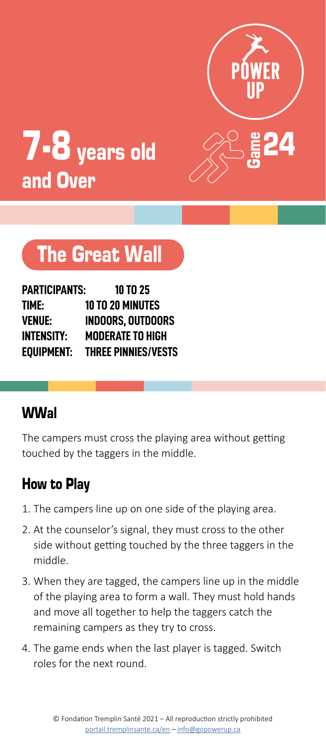![](_page_20_Picture_0.jpeg)

![](_page_20_Picture_1.jpeg)

# The Great Wall

| PARTICIPANTS:     | 10 TO 25                   |
|-------------------|----------------------------|
| TIME:             | <b>10 TO 20 MINUTES</b>    |
| <b>VENUE:</b>     | <b>INDOORS. OUTDOORS</b>   |
| <b>INTENSITY:</b> | <b>MODERATE TO HIGH</b>    |
| EOUIPMENT:        | <b>THREE PINNIES/VESTS</b> |

# WWal

The campers must cross the playing area without getting touched by the taggers in the middle.

- 1. The campers line up on one side of the playing area.
- 2. At the counselor's signal, they must cross to the other side without getting touched by the three taggers in the middle.
- 3. When they are tagged, the campers line up in the middle of the playing area to form a wall. They must hold hands and move all together to help the taggers catch the remaining campers as they try to cross.
- 4. The game ends when the last player is tagged. Switch roles for the next round.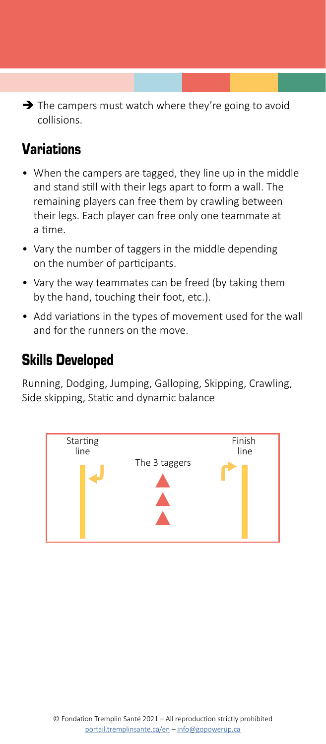$\rightarrow$  The campers must watch where they're going to avoid collisions.

# Variations

- When the campers are tagged, they line up in the middle and stand still with their legs apart to form a wall. The remaining players can free them by crawling between their legs. Each player can free only one teammate at a time.
- Vary the number of taggers in the middle depending on the number of participants.
- Vary the way teammates can be freed (by taking them by the hand, touching their foot, etc.).
- Add variations in the types of movement used for the wall and for the runners on the move.

# Skills Developed

Running, Dodging, Jumping, Galloping, Skipping, Crawling, Side skipping, Static and dynamic balance

![](_page_21_Figure_8.jpeg)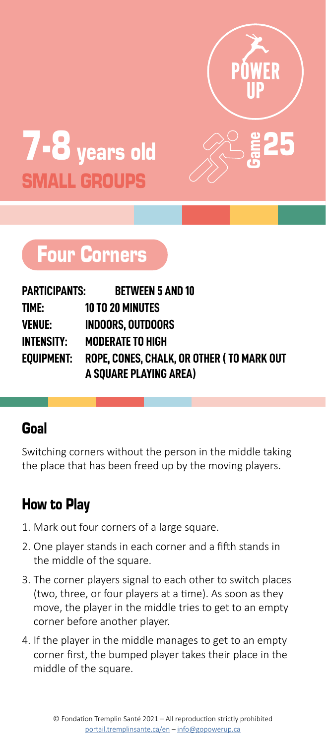![](_page_22_Picture_0.jpeg)

Game

![](_page_22_Picture_1.jpeg)

# Four Corners

| PARTICIPANTS:     | <b>BETWEEN 5 AND 10</b>                    |
|-------------------|--------------------------------------------|
| TIME:             | <b>10 TO 20 MINUTES</b>                    |
| <b>VENUE:</b>     | <b>INDOORS. OUTDOORS</b>                   |
| <b>INTENSITY:</b> | <b>MODERATE TO HIGH</b>                    |
| EOUIPMENT:        | ROPE. CONES. CHALK. OR OTHER ( TO MARK OUT |
|                   | A SQUARE PLAYING AREA)                     |

### Goal

Switching corners without the person in the middle taking the place that has been freed up by the moving players.

- 1. Mark out four corners of a large square.
- 2. One player stands in each corner and a fifth stands in the middle of the square.
- 3. The corner players signal to each other to switch places (two, three, or four players at a time). As soon as they move, the player in the middle tries to get to an empty corner before another player.
- 4. If the player in the middle manages to get to an empty corner first, the bumped player takes their place in the middle of the square.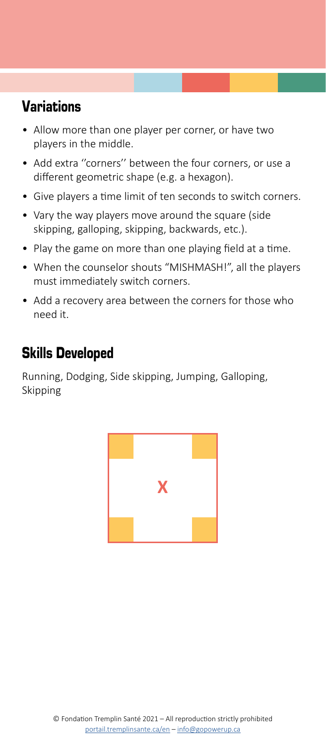- Allow more than one player per corner, or have two players in the middle.
- Add extra ''corners'' between the four corners, or use a different geometric shape (e.g. a hexagon).
- Give players a time limit of ten seconds to switch corners.
- Vary the way players move around the square (side skipping, galloping, skipping, backwards, etc.).
- Play the game on more than one playing field at a time.
- When the counselor shouts "MISHMASH!", all the players must immediately switch corners.
- Add a recovery area between the corners for those who need it.

# Skills Developed

Running, Dodging, Side skipping, Jumping, Galloping, Skipping

![](_page_23_Picture_10.jpeg)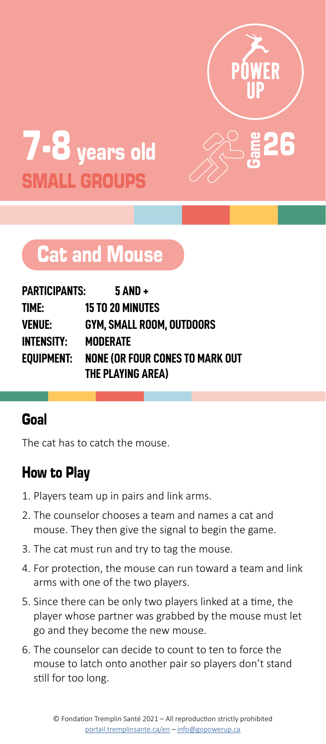![](_page_24_Picture_0.jpeg)

Game

![](_page_24_Picture_1.jpeg)

# Cat and Mouse

| PARTICIPANTS:     | $5$ AND +                              |
|-------------------|----------------------------------------|
| TIME:             | <b>15 TO 20 MINUTES</b>                |
| <b>VENUE:</b>     | GYM. SMALL ROOM. OUTDOORS              |
| <b>INTENSITY:</b> | <b>MODERATE</b>                        |
| EOUIPMENT:        | <b>NONE (OR FOUR CONES TO MARK OUT</b> |
|                   | THE PLAYING AREA)                      |

### Goal

The cat has to catch the mouse.

- 1. Players team up in pairs and link arms.
- 2. The counselor chooses a team and names a cat and mouse. They then give the signal to begin the game.
- 3. The cat must run and try to tag the mouse.
- 4. For protection, the mouse can run toward a team and link arms with one of the two players.
- 5. Since there can be only two players linked at a time, the player whose partner was grabbed by the mouse must let go and they become the new mouse.
- 6. The counselor can decide to count to ten to force the mouse to latch onto another pair so players don't stand still for too long.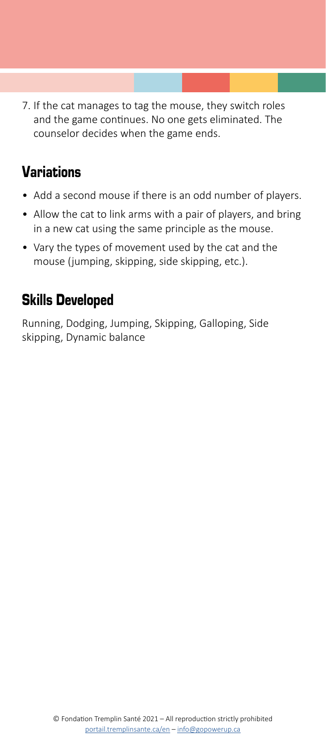7. If the cat manages to tag the mouse, they switch roles and the game continues. No one gets eliminated. The counselor decides when the game ends.

# Variations

- Add a second mouse if there is an odd number of players.
- Allow the cat to link arms with a pair of players, and bring in a new cat using the same principle as the mouse.
- Vary the types of movement used by the cat and the mouse (jumping, skipping, side skipping, etc.).

### Skills Developed

Running, Dodging, Jumping, Skipping, Galloping, Side skipping, Dynamic balance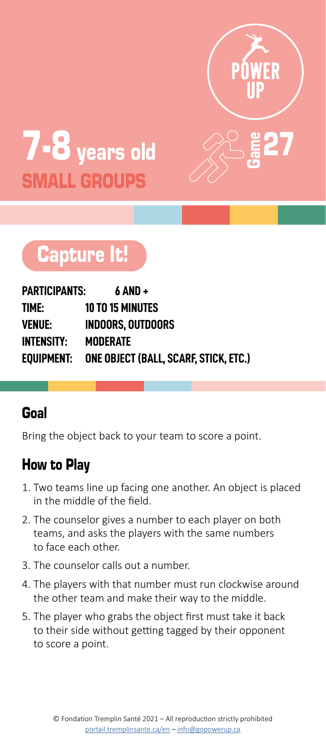![](_page_26_Picture_0.jpeg)

Game

27

![](_page_26_Picture_1.jpeg)

# Capture It!

| PARTICIPANTS: | $6$ AND +                                        |
|---------------|--------------------------------------------------|
| TIME:         | <b>10 TO 15 MINUTES</b>                          |
| VENUE:        | <b>INDOORS, OUTDOORS</b>                         |
| INTENSITY:    | <b>MODERATE</b>                                  |
|               | EQUIPMENT: ONE OBJECT (BALL, SCARF, STICK, ETC.) |

### Goal

Bring the object back to your team to score a point.

- 1. Two teams line up facing one another. An object is placed in the middle of the field.
- 2. The counselor gives a number to each player on both teams, and asks the players with the same numbers to face each other.
- 3. The counselor calls out a number.
- 4. The players with that number must run clockwise around the other team and make their way to the middle.
- 5. The player who grabs the object first must take it back to their side without getting tagged by their opponent to score a point.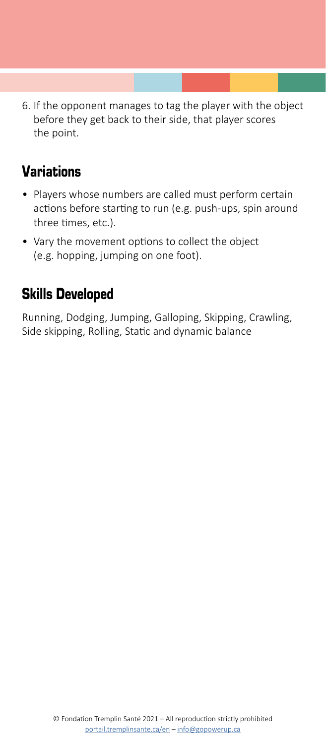6. If the opponent manages to tag the player with the object before they get back to their side, that player scores the point.

# Variations

- Players whose numbers are called must perform certain actions before starting to run (e.g. push-ups, spin around three times, etc.).
- Vary the movement options to collect the object (e.g. hopping, jumping on one foot).

# Skills Developed

Running, Dodging, Jumping, Galloping, Skipping, Crawling, Side skipping, Rolling, Static and dynamic balance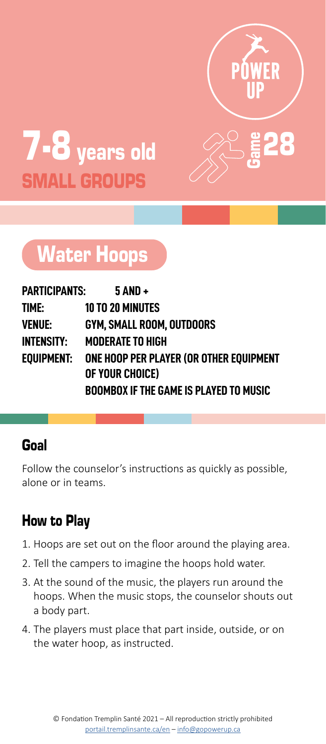![](_page_28_Picture_0.jpeg)

Game

28

![](_page_28_Picture_1.jpeg)

# Water Hoops

| PARTICIPANTS: | $5$ AND +                                              |
|---------------|--------------------------------------------------------|
| time:         | <b>10 TO 20 MINUTES</b>                                |
| VENUE:        | GYM. SMALL ROOM. OUTDOORS                              |
| INTENSITY:    | <b>MODERATE TO HIGH</b>                                |
|               | EOUIPMENT:     ONE HOOP PER PLAYER (OR OTHER EOUIPMENT |
|               | OF YOUR CHOICE)                                        |
|               | <b>BOOMBOX IF THE GAME IS PLAYED TO MUSIC</b>          |

#### Goal

Follow the counselor's instructions as quickly as possible, alone or in teams.

- 1. Hoops are set out on the floor around the playing area.
- 2. Tell the campers to imagine the hoops hold water.
- 3. At the sound of the music, the players run around the hoops. When the music stops, the counselor shouts out a body part.
- 4. The players must place that part inside, outside, or on the water hoop, as instructed.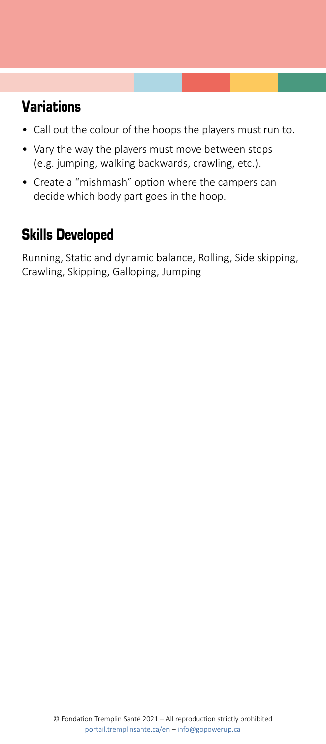- Call out the colour of the hoops the players must run to.
- Vary the way the players must move between stops (e.g. jumping, walking backwards, crawling, etc.).
- Create a "mishmash" option where the campers can decide which body part goes in the hoop.

# Skills Developed

Running, Static and dynamic balance, Rolling, Side skipping, Crawling, Skipping, Galloping, Jumping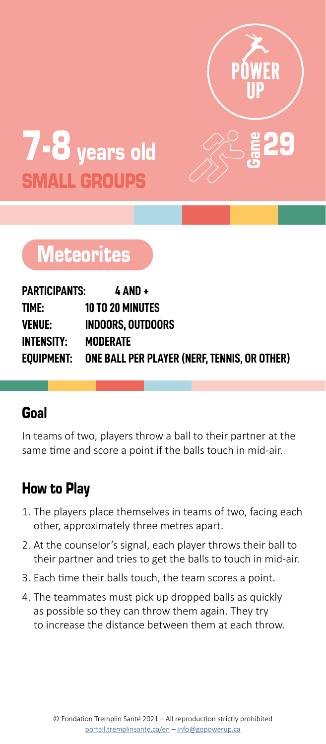![](_page_30_Picture_0.jpeg)

Game

![](_page_30_Picture_1.jpeg)

# **Meteorites**

| PARTICIPANTS:     | $4$ AND +                                    |
|-------------------|----------------------------------------------|
| time:             | <b>10 TO 20 MINUTES</b>                      |
| <b>VENUE:</b>     | <b>INDOORS. OUTDOORS</b>                     |
| <b>INTENSITY:</b> | MODERATE                                     |
| EQUIPMENT:        | ONE BALL PER PLAYER (NERF, TENNIS, OR OTHER) |

#### Goal

In teams of two, players throw a ball to their partner at the same time and score a point if the balls touch in mid-air.

- 1. The players place themselves in teams of two, facing each other, approximately three metres apart.
- 2. At the counselor's signal, each player throws their ball to their partner and tries to get the balls to touch in mid-air.
- 3. Each time their balls touch, the team scores a point.
- 4. The teammates must pick up dropped balls as quickly as possible so they can throw them again. They try to increase the distance between them at each throw.